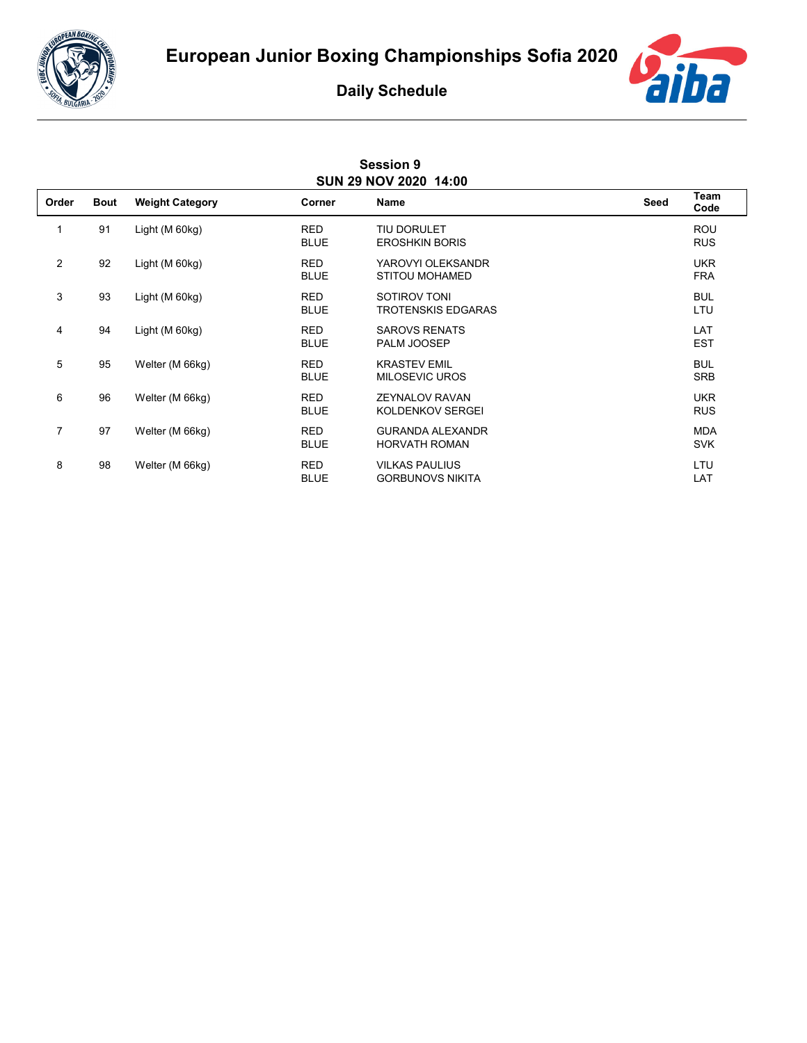



## **Daily Schedule**

| <b>Session 9</b><br>SUN 29 NOV 2020 14:00 |             |                        |                           |                                                  |      |                          |  |  |  |
|-------------------------------------------|-------------|------------------------|---------------------------|--------------------------------------------------|------|--------------------------|--|--|--|
| Order                                     | <b>Bout</b> | <b>Weight Category</b> | Corner                    | Name                                             | Seed | <b>Team</b><br>Code      |  |  |  |
| 1                                         | 91          | Light (M 60kg)         | <b>RED</b><br><b>BLUE</b> | <b>TIU DORULET</b><br><b>EROSHKIN BORIS</b>      |      | <b>ROU</b><br><b>RUS</b> |  |  |  |
| $\overline{c}$                            | 92          | Light (M 60kg)         | <b>RED</b><br><b>BLUE</b> | YAROVYI OLEKSANDR<br>STITOU MOHAMED              |      | <b>UKR</b><br><b>FRA</b> |  |  |  |
| 3                                         | 93          | Light (M 60kg)         | <b>RED</b><br><b>BLUE</b> | SOTIROV TONI<br><b>TROTENSKIS EDGARAS</b>        |      | <b>BUL</b><br>LTU        |  |  |  |
| 4                                         | 94          | Light (M 60kg)         | <b>RED</b><br><b>BLUE</b> | <b>SAROVS RENATS</b><br>PALM JOOSEP              |      | LAT<br><b>EST</b>        |  |  |  |
| 5                                         | 95          | Welter (M 66kg)        | <b>RED</b><br><b>BLUE</b> | <b>KRASTEV EMIL</b><br><b>MILOSEVIC UROS</b>     |      | <b>BUL</b><br><b>SRB</b> |  |  |  |
| 6                                         | 96          | Welter (M 66kg)        | <b>RED</b><br><b>BLUE</b> | <b>ZEYNALOV RAVAN</b><br>KOLDENKOV SERGEI        |      | <b>UKR</b><br><b>RUS</b> |  |  |  |
| 7                                         | 97          | Welter (M 66kg)        | <b>RED</b><br><b>BLUE</b> | <b>GURANDA ALEXANDR</b><br><b>HORVATH ROMAN</b>  |      | <b>MDA</b><br><b>SVK</b> |  |  |  |
| 8                                         | 98          | Welter (M 66kg)        | <b>RED</b><br><b>BLUE</b> | <b>VILKAS PAULIUS</b><br><b>GORBUNOVS NIKITA</b> |      | LTU<br>LAT               |  |  |  |